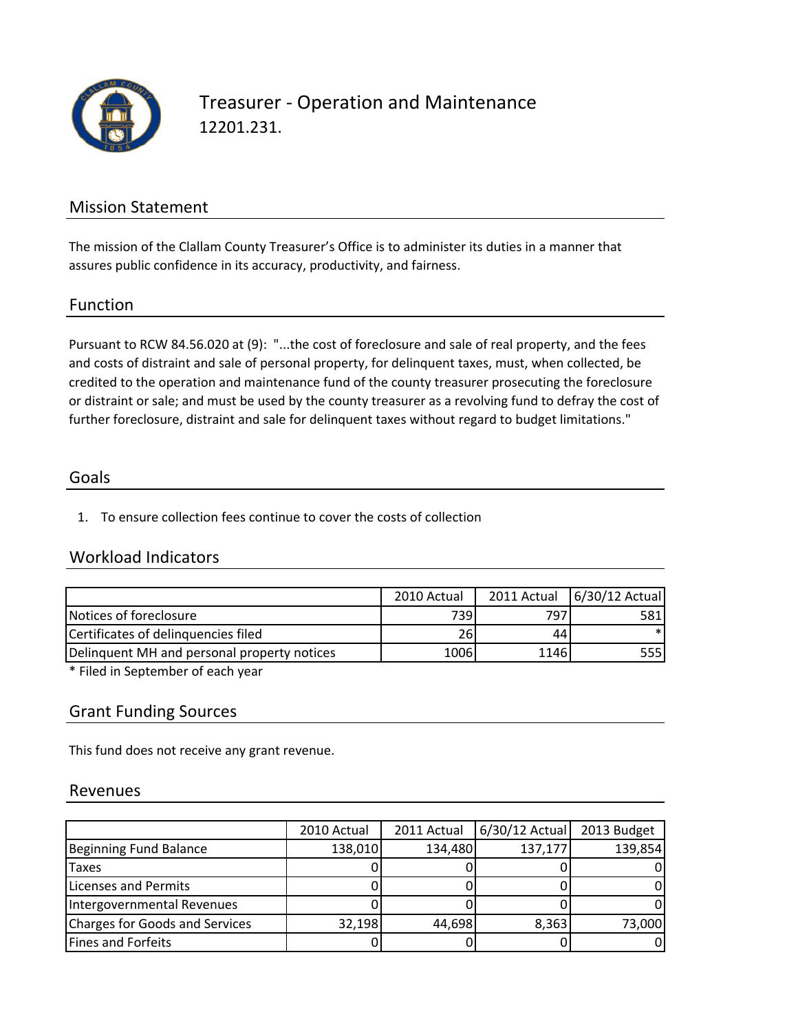

## Treasurer ‐ Operation and Maintenance 12201.231.

## Mission Statement

The mission of the Clallam County Treasurer's Office is to administer its duties in a manner that assures public confidence in its accuracy, productivity, and fairness.

#### Function

Pursuant to RCW 84.56.020 at (9): "...the cost of foreclosure and sale of real property, and the fees and costs of distraint and sale of personal property, for delinquent taxes, must, when collected, be credited to the operation and maintenance fund of the county treasurer prosecuting the foreclosure or distraint or sale; and must be used by the county treasurer as a revolving fund to defray the cost of further foreclosure, distraint and sale for delinquent taxes without regard to budget limitations."

#### Goals

1. To ensure collection fees continue to cover the costs of collection

### Workload Indicators

|                                             | 2010 Actual |      | 2011 Actual   6/30/12 Actual |
|---------------------------------------------|-------------|------|------------------------------|
| Notices of foreclosure                      | 739I        | 7971 | 581                          |
| Certificates of delinguencies filed         | 26          | 441  | $\ast$                       |
| Delinguent MH and personal property notices | 1006        | 1146 | 555 l                        |

\* Filed in September of each year

## Grant Funding Sources

This fund does not receive any grant revenue.

#### Revenues

|                                | 2010 Actual | 2011 Actual | 6/30/12 Actual | 2013 Budget |
|--------------------------------|-------------|-------------|----------------|-------------|
| Beginning Fund Balance         | 138,010     | 134,480     | 137,177        | 139,854     |
| Taxes                          |             |             |                |             |
| Licenses and Permits           |             |             |                |             |
| Intergovernmental Revenues     |             |             |                |             |
| Charges for Goods and Services | 32,198      | 44,698      | 8,363          | 73,000      |
| Fines and Forfeits             |             |             |                |             |